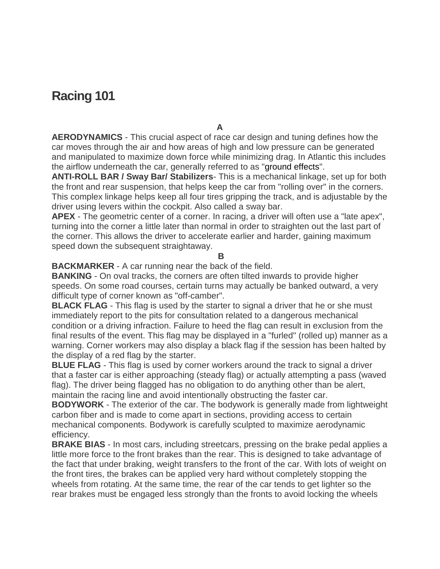## **Racing 101**

**A**

**AERODYNAMICS** - This crucial aspect of race car design and tuning defines how the car moves through the air and how areas of high and low pressure can be generated and manipulated to maximize down force while minimizing drag. In Atlantic this includes the airflow underneath the car, generally referred to as ["ground](http://www.racepbir.com/fan-info/racing-101#GROUND%20EFFECT) effects".

**ANTI-ROLL BAR / Sway Bar/ Stabilizers**- This is a mechanical linkage, set up for both the front and rear suspension, that helps keep the car from "rolling over" in the corners. This complex linkage helps keep all four tires gripping the track, and is adjustable by the driver using levers within the cockpit. Also called a sway bar.

**APEX** - The geometric center of a corner. In racing, a driver will often use a "late apex", turning into the corner a little later than normal in order to straighten out the last part of the corner. This allows the driver to accelerate earlier and harder, gaining maximum speed down the subsequent straightaway.

**B**

**BACKMARKER** - A car running near the back of the field.

**BANKING** - On oval tracks, the corners are often tilted inwards to provide higher speeds. On some road courses, certain turns may actually be banked outward, a very difficult type of corner known as "off-camber".

**BLACK FLAG** - This flag is used by the starter to signal a driver that he or she must immediately report to the pits for consultation related to a dangerous mechanical condition or a driving infraction. Failure to heed the flag can result in exclusion from the final results of the event. This flag may be displayed in a "furled" (rolled up) manner as a warning. Corner workers may also display a black flag if the session has been halted by the display of a red flag by the starter.

**BLUE FLAG** - This flag is used by corner workers around the track to signal a driver that a faster car is either approaching (steady flag) or actually attempting a pass (waved flag). The driver being flagged has no obligation to do anything other than be alert, maintain the racing line and avoid intentionally obstructing the faster car.

**BODYWORK** - The exterior of the car. The bodywork is generally made from lightweight carbon fiber and is made to come apart in sections, providing access to certain mechanical components. Bodywork is carefully sculpted to maximize aerodynamic efficiency.

**BRAKE BIAS** - In most cars, including streetcars, pressing on the brake pedal applies a little more force to the front brakes than the rear. This is designed to take advantage of the fact that under braking, weight transfers to the front of the car. With lots of weight on the front tires, the brakes can be applied very hard without completely stopping the wheels from rotating. At the same time, the rear of the car tends to get lighter so the rear brakes must be engaged less strongly than the fronts to avoid locking the wheels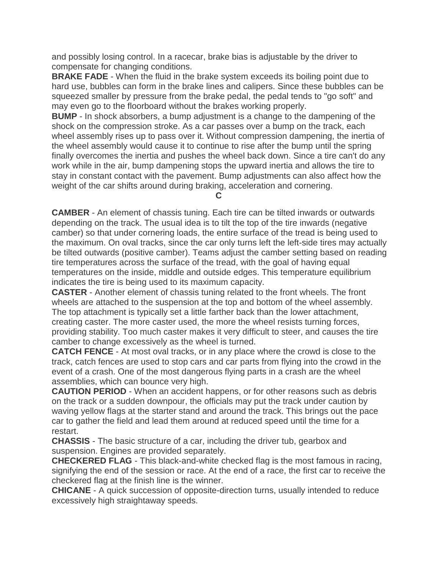and possibly losing control. In a racecar, brake bias is adjustable by the driver to compensate for changing conditions.

**BRAKE FADE** - When the fluid in the brake system exceeds its boiling point due to hard use, bubbles can form in the brake lines and calipers. Since these bubbles can be squeezed smaller by pressure from the brake pedal, the pedal tends to "go soft" and may even go to the floorboard without the brakes working properly.

**BUMP** - In shock absorbers, a bump adjustment is a change to the dampening of the shock on the compression stroke. As a car passes over a bump on the track, each wheel assembly rises up to pass over it. Without compression dampening, the inertia of the wheel assembly would cause it to continue to rise after the bump until the spring finally overcomes the inertia and pushes the wheel back down. Since a tire can't do any work while in the air, bump dampening stops the upward inertia and allows the tire to stay in constant contact with the pavement. Bump adjustments can also affect how the weight of the car shifts around during braking, acceleration and cornering.

**C**

**CAMBER** - An element of chassis tuning. Each tire can be tilted inwards or outwards depending on the track. The usual idea is to tilt the top of the tire inwards (negative camber) so that under cornering loads, the entire surface of the tread is being used to the maximum. On oval tracks, since the car only turns left the left-side tires may actually be tilted outwards (positive camber). Teams adjust the camber setting based on reading tire temperatures across the surface of the tread, with the goal of having equal temperatures on the inside, middle and outside edges. This temperature equilibrium indicates the tire is being used to its maximum capacity.

**CASTER** - Another element of chassis tuning related to the front wheels. The front wheels are attached to the suspension at the top and bottom of the wheel assembly. The top attachment is typically set a little farther back than the lower attachment, creating caster. The more caster used, the more the wheel resists turning forces, providing stability. Too much caster makes it very difficult to steer, and causes the tire camber to change excessively as the wheel is turned.

**CATCH FENCE** - At most oval tracks, or in any place where the crowd is close to the track, catch fences are used to stop cars and car parts from flying into the crowd in the event of a crash. One of the most dangerous flying parts in a crash are the wheel assemblies, which can bounce very high.

**CAUTION PERIOD** - When an accident happens, or for other reasons such as debris on the track or a sudden downpour, the officials may put the track under caution by waving yellow flags at the starter stand and around the track. This brings out the pace car to gather the field and lead them around at reduced speed until the time for a restart.

**CHASSIS** - The basic structure of a car, including the driver tub, gearbox and suspension. Engines are provided separately.

**CHECKERED FLAG** - This black-and-white checked flag is the most famous in racing, signifying the end of the session or race. At the end of a race, the first car to receive the checkered flag at the finish line is the winner.

**CHICANE** - A quick succession of opposite-direction turns, usually intended to reduce excessively high straightaway speeds.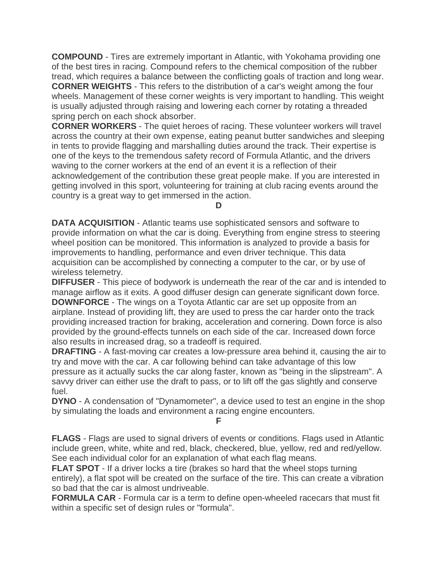**COMPOUND** - Tires are extremely important in Atlantic, with Yokohama providing one of the best tires in racing. Compound refers to the chemical composition of the rubber tread, which requires a balance between the conflicting goals of traction and long wear. **CORNER WEIGHTS** - This refers to the distribution of a car's weight among the four wheels. Management of these corner weights is very important to handling. This weight is usually adjusted through raising and lowering each corner by rotating a threaded spring perch on each shock absorber.

**CORNER WORKERS** - The quiet heroes of racing. These volunteer workers will travel across the country at their own expense, eating peanut butter sandwiches and sleeping in tents to provide flagging and marshalling duties around the track. Their expertise is one of the keys to the tremendous safety record of Formula Atlantic, and the drivers waving to the corner workers at the end of an event it is a reflection of their acknowledgement of the contribution these great people make. If you are interested in getting involved in this sport, volunteering for training at club racing events around the country is a great way to get immersed in the action.

**D**

**DATA ACQUISITION** - Atlantic teams use sophisticated sensors and software to provide information on what the car is doing. Everything from engine stress to steering wheel position can be monitored. This information is analyzed to provide a basis for improvements to handling, performance and even driver technique. This data acquisition can be accomplished by connecting a computer to the car, or by use of wireless telemetry.

**DIFFUSER** - This piece of bodywork is underneath the rear of the car and is intended to manage airflow as it exits. A good diffuser design can generate significant down force. **DOWNFORCE** - The wings on a Toyota Atlantic car are set up opposite from an airplane. Instead of providing lift, they are used to press the car harder onto the track providing increased traction for braking, acceleration and cornering. Down force is also provided by the ground-effects tunnels on each side of the car. Increased down force also results in increased drag, so a tradeoff is required.

**DRAFTING** - A fast-moving car creates a low-pressure area behind it, causing the air to try and move with the car. A car following behind can take advantage of this low pressure as it actually sucks the car along faster, known as "being in the slipstream". A savvy driver can either use the draft to pass, or to lift off the gas slightly and conserve fuel.

**DYNO** - A condensation of "Dynamometer", a device used to test an engine in the shop by simulating the loads and environment a racing engine encounters.

**F**

**FLAGS** - Flags are used to signal drivers of events or conditions. Flags used in Atlantic include green, white, white and red, black, checkered, blue, yellow, red and red/yellow. See each individual color for an explanation of what each flag means.

**FLAT SPOT** - If a driver locks a tire (brakes so hard that the wheel stops turning entirely), a flat spot will be created on the surface of the tire. This can create a vibration so bad that the car is almost undriveable.

**FORMULA CAR** - Formula car is a term to define open-wheeled racecars that must fit within a specific set of design rules or "formula".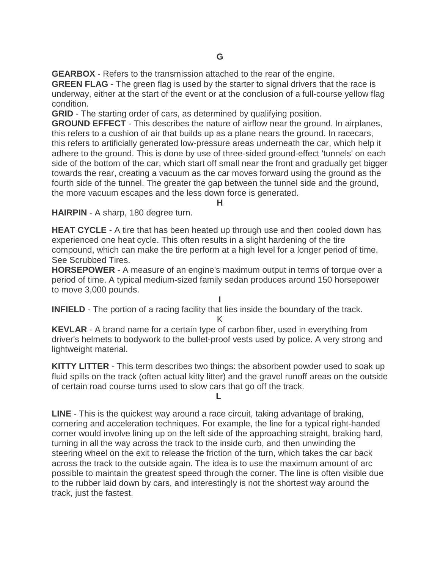**GEARBOX** - Refers to the transmission attached to the rear of the engine.

**GREEN FLAG** - The green flag is used by the starter to signal drivers that the race is underway, either at the start of the event or at the conclusion of a full-course yellow flag condition.

**GRID** - The starting order of cars, as determined by qualifying position.

**GROUND EFFECT** - This describes the nature of airflow near the ground. In airplanes, this refers to a cushion of air that builds up as a plane nears the ground. In racecars, this refers to artificially generated low-pressure areas underneath the car, which help it adhere to the ground. This is done by use of three-sided ground-effect 'tunnels' on each side of the bottom of the car, which start off small near the front and gradually get bigger towards the rear, creating a vacuum as the car moves forward using the ground as the fourth side of the tunnel. The greater the gap between the tunnel side and the ground, the more vacuum escapes and the less down force is generated.

**H**

**HAIRPIN** - A sharp, 180 degree turn.

**HEAT CYCLE** - A tire that has been heated up through use and then cooled down has experienced one heat cycle. This often results in a slight hardening of the tire compound, which can make the tire perform at a high level for a longer period of time. See Scrubbed Tires.

**HORSEPOWER** - A measure of an engine's maximum output in terms of torque over a period of time. A typical medium-sized family sedan produces around 150 horsepower to move 3,000 pounds.

**I INFIELD** - The portion of a racing facility that lies inside the boundary of the track.

K

**KEVLAR** - A brand name for a certain type of carbon fiber, used in everything from driver's helmets to bodywork to the bullet-proof vests used by police. A very strong and lightweight material.

**KITTY LITTER** - This term describes two things: the absorbent powder used to soak up fluid spills on the track (often actual kitty litter) and the gravel runoff areas on the outside of certain road course turns used to slow cars that go off the track.

**L**

**LINE** - This is the quickest way around a race circuit, taking advantage of braking, cornering and acceleration techniques. For example, the line for a typical right-handed corner would involve lining up on the left side of the approaching straight, braking hard, turning in all the way across the track to the inside curb, and then unwinding the steering wheel on the exit to release the friction of the turn, which takes the car back across the track to the outside again. The idea is to use the maximum amount of arc possible to maintain the greatest speed through the corner. The line is often visible due to the rubber laid down by cars, and interestingly is not the shortest way around the track, just the fastest.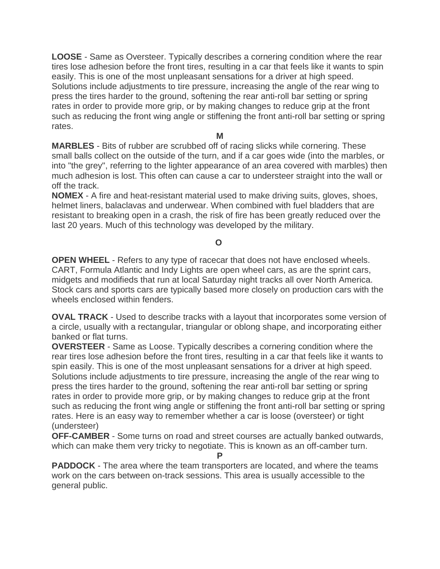**LOOSE** - Same as Oversteer. Typically describes a cornering condition where the rear tires lose adhesion before the front tires, resulting in a car that feels like it wants to spin easily. This is one of the most unpleasant sensations for a driver at high speed. Solutions include adjustments to tire pressure, increasing the angle of the rear wing to press the tires harder to the ground, softening the rear anti-roll bar setting or spring rates in order to provide more grip, or by making changes to reduce grip at the front such as reducing the front wing angle or stiffening the front anti-roll bar setting or spring rates.

**M**

**MARBLES** - Bits of rubber are scrubbed off of racing slicks while cornering. These small balls collect on the outside of the turn, and if a car goes wide (into the marbles, or into "the grey", referring to the lighter appearance of an area covered with marbles) then much adhesion is lost. This often can cause a car to understeer straight into the wall or off the track.

**NOMEX** - A fire and heat-resistant material used to make driving suits, gloves, shoes, helmet liners, balaclavas and underwear. When combined with fuel bladders that are resistant to breaking open in a crash, the risk of fire has been greatly reduced over the last 20 years. Much of this technology was developed by the military.

## **O**

**OPEN WHEEL** - Refers to any type of racecar that does not have enclosed wheels. CART, Formula Atlantic and Indy Lights are open wheel cars, as are the sprint cars, midgets and modifieds that run at local Saturday night tracks all over North America. Stock cars and sports cars are typically based more closely on production cars with the wheels enclosed within fenders.

**OVAL TRACK** - Used to describe tracks with a layout that incorporates some version of a circle, usually with a rectangular, triangular or oblong shape, and incorporating either banked or flat turns.

**OVERSTEER** - Same as Loose. Typically describes a cornering condition where the rear tires lose adhesion before the front tires, resulting in a car that feels like it wants to spin easily. This is one of the most unpleasant sensations for a driver at high speed. Solutions include adjustments to tire pressure, increasing the angle of the rear wing to press the tires harder to the ground, softening the rear anti-roll bar setting or spring rates in order to provide more grip, or by making changes to reduce grip at the front such as reducing the front wing angle or stiffening the front anti-roll bar setting or spring rates. Here is an easy way to remember whether a car is loose (oversteer) or tight (understeer)

**OFF-CAMBER** - Some turns on road and street courses are actually banked outwards, which can make them very tricky to negotiate. This is known as an off-camber turn. **P**

**PADDOCK** - The area where the team transporters are located, and where the teams work on the cars between on-track sessions. This area is usually accessible to the general public.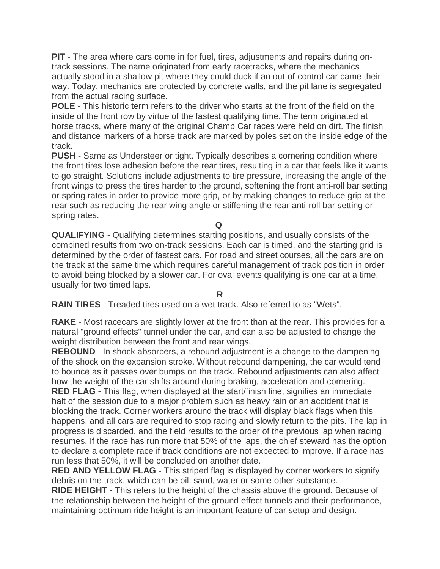**PIT** - The area where cars come in for fuel, tires, adjustments and repairs during ontrack sessions. The name originated from early racetracks, where the mechanics actually stood in a shallow pit where they could duck if an out-of-control car came their way. Today, mechanics are protected by concrete walls, and the pit lane is segregated from the actual racing surface.

**POLE** - This historic term refers to the driver who starts at the front of the field on the inside of the front row by virtue of the fastest qualifying time. The term originated at horse tracks, where many of the original Champ Car races were held on dirt. The finish and distance markers of a horse track are marked by poles set on the inside edge of the track.

**PUSH** - Same as Understeer or tight. Typically describes a cornering condition where the front tires lose adhesion before the rear tires, resulting in a car that feels like it wants to go straight. Solutions include adjustments to tire pressure, increasing the angle of the front wings to press the tires harder to the ground, softening the front anti-roll bar setting or spring rates in order to provide more grip, or by making changes to reduce grip at the rear such as reducing the rear wing angle or stiffening the rear anti-roll bar setting or spring rates.

**Q**

**QUALIFYING** - Qualifying determines starting positions, and usually consists of the combined results from two on-track sessions. Each car is timed, and the starting grid is determined by the order of fastest cars. For road and street courses, all the cars are on the track at the same time which requires careful management of track position in order to avoid being blocked by a slower car. For oval events qualifying is one car at a time, usually for two timed laps.

## **R**

**RAIN TIRES** - Treaded tires used on a wet track. Also referred to as "Wets".

**RAKE** - Most racecars are slightly lower at the front than at the rear. This provides for a natural "ground effects" tunnel under the car, and can also be adjusted to change the weight distribution between the front and rear wings.

**REBOUND** - In shock absorbers, a rebound adjustment is a change to the dampening of the shock on the expansion stroke. Without rebound dampening, the car would tend to bounce as it passes over bumps on the track. Rebound adjustments can also affect how the weight of the car shifts around during braking, acceleration and cornering. **RED FLAG** - This flag, when displayed at the start/finish line, signifies an immediate

halt of the session due to a major problem such as heavy rain or an accident that is blocking the track. Corner workers around the track will display black flags when this happens, and all cars are required to stop racing and slowly return to the pits. The lap in progress is discarded, and the field results to the order of the previous lap when racing resumes. If the race has run more that 50% of the laps, the chief steward has the option to declare a complete race if track conditions are not expected to improve. If a race has run less that 50%, it will be concluded on another date.

**RED AND YELLOW FLAG** - This striped flag is displayed by corner workers to signify debris on the track, which can be oil, sand, water or some other substance.

**RIDE HEIGHT** - This refers to the height of the chassis above the ground. Because of the relationship between the height of the ground effect tunnels and their performance, maintaining optimum ride height is an important feature of car setup and design.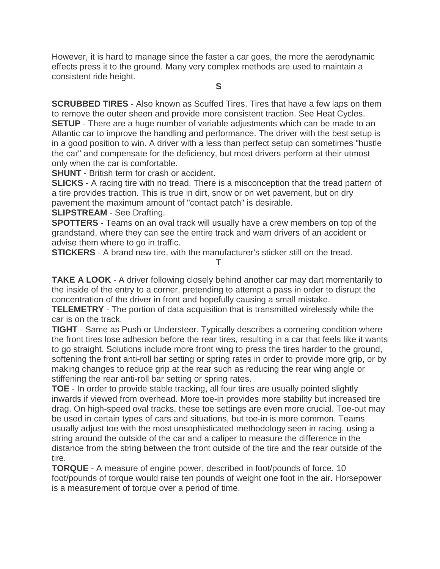However, it is hard to manage since the faster a car goes, the more the aerodynamic effects press it to the ground. Many very complex methods are used to maintain a consistent ride height.

**S**

**SCRUBBED TIRES** - Also known as Scuffed Tires. Tires that have a few laps on them to remove the outer sheen and provide more consistent traction. See Heat Cycles. **SETUP** - There are a huge number of variable adjustments which can be made to an Atlantic car to improve the handling and performance. The driver with the best setup is in a good position to win. A driver with a less than perfect setup can sometimes "hustle the car" and compensate for the deficiency, but most drivers perform at their utmost only when the car is comfortable.

**SHUNT** - British term for crash or accident.

**SLICKS** - A racing tire with no tread. There is a misconception that the tread pattern of a tire provides traction. This is true in dirt, snow or on wet pavement, but on dry pavement the maximum amount of "contact patch" is desirable.

**SLIPSTREAM** - See Drafting.

**SPOTTERS** - Teams on an oval track will usually have a crew members on top of the grandstand, where they can see the entire track and warn drivers of an accident or advise them where to go in traffic.

**STICKERS** - A brand new tire, with the manufacturer's sticker still on the tread.

**T**

**TAKE A LOOK** - A driver following closely behind another car may dart momentarily to the inside of the entry to a corner, pretending to attempt a pass in order to disrupt the concentration of the driver in front and hopefully causing a small mistake.

**TELEMETRY** - The portion of data acquisition that is transmitted wirelessly while the car is on the track.

**TIGHT** - Same as Push or Understeer. Typically describes a cornering condition where the front tires lose adhesion before the rear tires, resulting in a car that feels like it wants to go straight. Solutions include more front wing to press the tires harder to the ground, softening the front anti-roll bar setting or spring rates in order to provide more grip, or by making changes to reduce grip at the rear such as reducing the rear wing angle or stiffening the rear anti-roll bar setting or spring rates.

**TOE** - In order to provide stable tracking, all four tires are usually pointed slightly inwards if viewed from overhead. More toe-in provides more stability but increased tire drag. On high-speed oval tracks, these toe settings are even more crucial. Toe-out may be used in certain types of cars and situations, but toe-in is more common. Teams usually adjust toe with the most unsophisticated methodology seen in racing, using a string around the outside of the car and a caliper to measure the difference in the distance from the string between the front outside of the tire and the rear outside of the tire.

**TORQUE** - A measure of engine power, described in foot/pounds of force. 10 foot/pounds of torque would raise ten pounds of weight one foot in the air. Horsepower is a measurement of torque over a period of time.